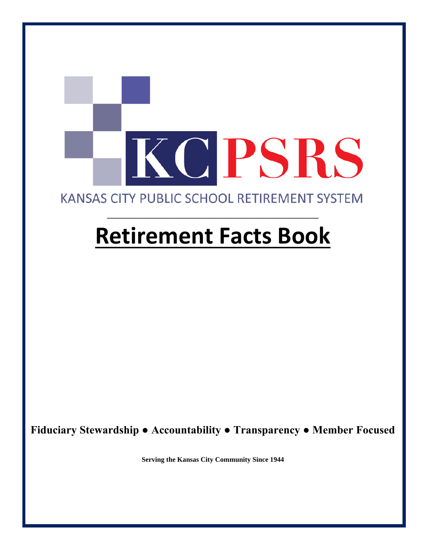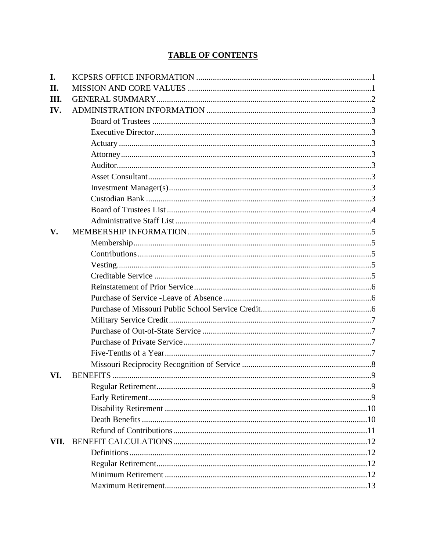### **TABLE OF CONTENTS**

| I.            |  |
|---------------|--|
| II.           |  |
| Ш.            |  |
| IV.           |  |
|               |  |
|               |  |
|               |  |
|               |  |
|               |  |
|               |  |
|               |  |
|               |  |
|               |  |
|               |  |
| $V_{\bullet}$ |  |
|               |  |
|               |  |
|               |  |
|               |  |
|               |  |
|               |  |
|               |  |
|               |  |
|               |  |
|               |  |
|               |  |
|               |  |
| VI.           |  |
|               |  |
|               |  |
|               |  |
|               |  |
|               |  |
| VII.          |  |
|               |  |
|               |  |
|               |  |
|               |  |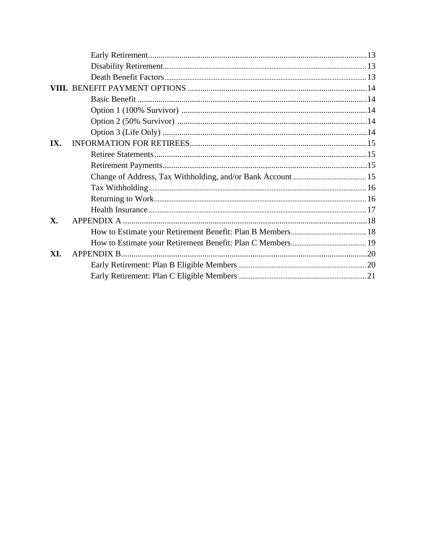| IX. |  |
|-----|--|
|     |  |
|     |  |
|     |  |
|     |  |
|     |  |
|     |  |
| X.  |  |
|     |  |
|     |  |
| XI. |  |
|     |  |
|     |  |
|     |  |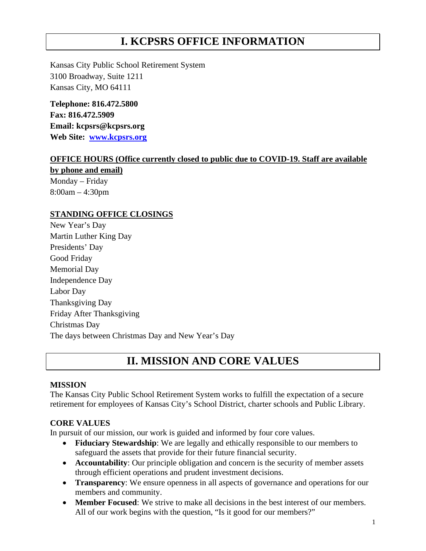# **I. KCPSRS OFFICE INFORMATION**

Kansas City Public School Retirement System 3100 Broadway, Suite 1211 Kansas City, MO 64111

**Telephone: 816.472.5800 Fax: 816.472.5909 Email: kcpsrs@kcpsrs.org Web Site: [www.kcpsrs.org](http://www.kcpsrs.org/)**

#### **OFFICE HOURS (Office currently closed to public due to COVID-19. Staff are available**

**by phone and email)** Monday – Friday 8:00am – 4:30pm

#### **STANDING OFFICE CLOSINGS**

New Year's Day Martin Luther King Day Presidents' Day Good Friday Memorial Day Independence Day Labor Day Thanksgiving Day Friday After Thanksgiving Christmas Day The days between Christmas Day and New Year's Day

### **II. MISSION AND CORE VALUES**

#### **MISSION**

The Kansas City Public School Retirement System works to fulfill the expectation of a secure retirement for employees of Kansas City's School District, charter schools and Public Library.

#### **CORE VALUES**

In pursuit of our mission, our work is guided and informed by four core values.

- **Fiduciary Stewardship**: We are legally and ethically responsible to our members to safeguard the assets that provide for their future financial security.
- **Accountability**: Our principle obligation and concern is the security of member assets through efficient operations and prudent investment decisions.
- **Transparency**: We ensure openness in all aspects of governance and operations for our members and community.
- **Member Focused**: We strive to make all decisions in the best interest of our members. All of our work begins with the question, "Is it good for our members?"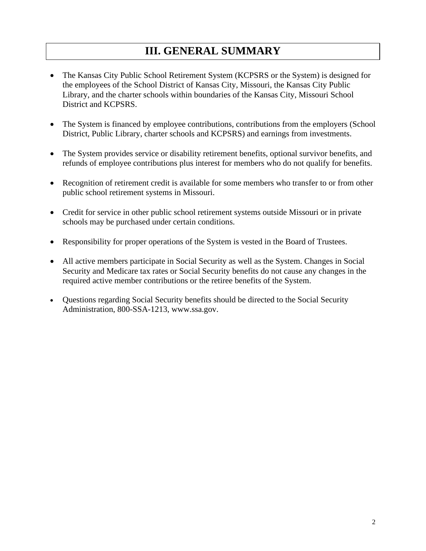# **III. GENERAL SUMMARY**

- The Kansas City Public School Retirement System (KCPSRS or the System) is designed for the employees of the School District of Kansas City, Missouri, the Kansas City Public Library, and the charter schools within boundaries of the Kansas City, Missouri School District and KCPSRS.
- The System is financed by employee contributions, contributions from the employers (School District, Public Library, charter schools and KCPSRS) and earnings from investments.
- The System provides service or disability retirement benefits, optional survivor benefits, and refunds of employee contributions plus interest for members who do not qualify for benefits.
- Recognition of retirement credit is available for some members who transfer to or from other public school retirement systems in Missouri.
- Credit for service in other public school retirement systems outside Missouri or in private schools may be purchased under certain conditions.
- Responsibility for proper operations of the System is vested in the Board of Trustees.
- All active members participate in Social Security as well as the System. Changes in Social Security and Medicare tax rates or Social Security benefits do not cause any changes in the required active member contributions or the retiree benefits of the System.
- Questions regarding Social Security benefits should be directed to the Social Security Administration, 800-SSA-1213, www.ssa.gov.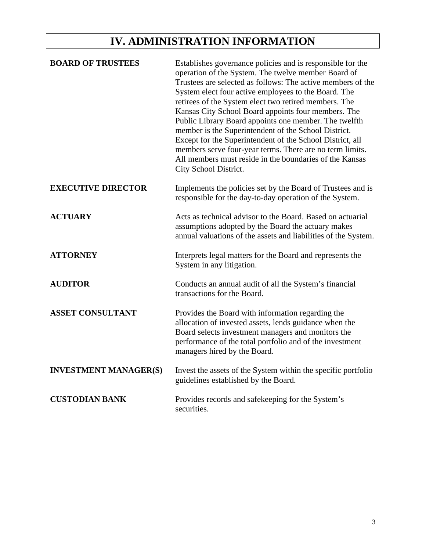# **IV. ADMINISTRATION INFORMATION**

| <b>BOARD OF TRUSTEES</b>     | Establishes governance policies and is responsible for the<br>operation of the System. The twelve member Board of<br>Trustees are selected as follows: The active members of the<br>System elect four active employees to the Board. The<br>retirees of the System elect two retired members. The<br>Kansas City School Board appoints four members. The<br>Public Library Board appoints one member. The twelfth<br>member is the Superintendent of the School District.<br>Except for the Superintendent of the School District, all<br>members serve four-year terms. There are no term limits.<br>All members must reside in the boundaries of the Kansas<br>City School District. |
|------------------------------|----------------------------------------------------------------------------------------------------------------------------------------------------------------------------------------------------------------------------------------------------------------------------------------------------------------------------------------------------------------------------------------------------------------------------------------------------------------------------------------------------------------------------------------------------------------------------------------------------------------------------------------------------------------------------------------|
| <b>EXECUTIVE DIRECTOR</b>    | Implements the policies set by the Board of Trustees and is<br>responsible for the day-to-day operation of the System.                                                                                                                                                                                                                                                                                                                                                                                                                                                                                                                                                                 |
| <b>ACTUARY</b>               | Acts as technical advisor to the Board. Based on actuarial<br>assumptions adopted by the Board the actuary makes<br>annual valuations of the assets and liabilities of the System.                                                                                                                                                                                                                                                                                                                                                                                                                                                                                                     |
| <b>ATTORNEY</b>              | Interprets legal matters for the Board and represents the<br>System in any litigation.                                                                                                                                                                                                                                                                                                                                                                                                                                                                                                                                                                                                 |
| <b>AUDITOR</b>               | Conducts an annual audit of all the System's financial<br>transactions for the Board.                                                                                                                                                                                                                                                                                                                                                                                                                                                                                                                                                                                                  |
| <b>ASSET CONSULTANT</b>      | Provides the Board with information regarding the<br>allocation of invested assets, lends guidance when the<br>Board selects investment managers and monitors the<br>performance of the total portfolio and of the investment<br>managers hired by the Board.                                                                                                                                                                                                                                                                                                                                                                                                                          |
| <b>INVESTMENT MANAGER(S)</b> | Invest the assets of the System within the specific portfolio<br>guidelines established by the Board.                                                                                                                                                                                                                                                                                                                                                                                                                                                                                                                                                                                  |
| <b>CUSTODIAN BANK</b>        | Provides records and safekeeping for the System's<br>securities.                                                                                                                                                                                                                                                                                                                                                                                                                                                                                                                                                                                                                       |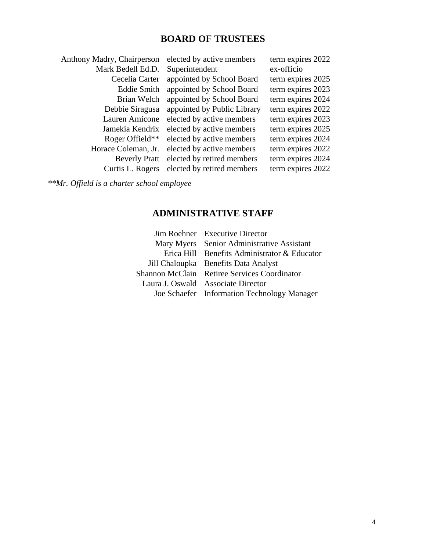### **BOARD OF TRUSTEES**

| Anthony Madry, Chairperson | elected by active members   | term expires 2022 |
|----------------------------|-----------------------------|-------------------|
| Mark Bedell Ed.D.          | Superintendent              | ex-officio        |
| Cecelia Carter             | appointed by School Board   | term expires 2025 |
| <b>Eddie Smith</b>         | appointed by School Board   | term expires 2023 |
| Brian Welch                | appointed by School Board   | term expires 2024 |
| Debbie Siragusa            | appointed by Public Library | term expires 2022 |
| Lauren Amicone             | elected by active members   | term expires 2023 |
| Jamekia Kendrix            | elected by active members   | term expires 2025 |
| Roger Offield**            | elected by active members   | term expires 2024 |
| Horace Coleman, Jr.        | elected by active members   | term expires 2022 |
| <b>Beverly Pratt</b>       | elected by retired members  | term expires 2024 |
| Curtis L. Rogers           | elected by retired members  | term expires 2022 |
|                            |                             |                   |

*\*\*Mr. Offield is a charter school employee*

## **ADMINISTRATIVE STAFF**

| Jim Roehner Executive Director               |
|----------------------------------------------|
| Mary Myers Senior Administrative Assistant   |
| Erica Hill Benefits Administrator & Educator |
| Jill Chaloupka Benefits Data Analyst         |
| Shannon McClain Retiree Services Coordinator |
| Laura J. Oswald Associate Director           |
| Joe Schaefer Information Technology Manager  |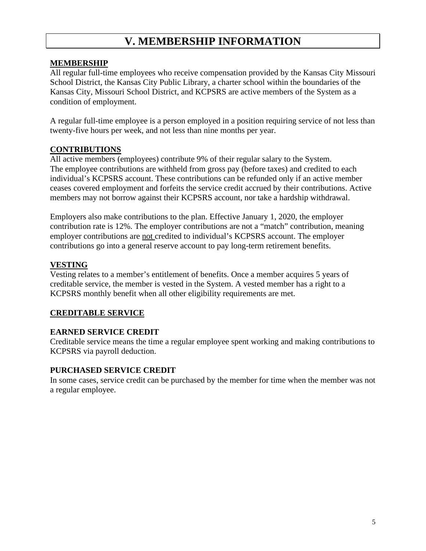# **V. MEMBERSHIP INFORMATION**

#### **MEMBERSHIP**

All regular full-time employees who receive compensation provided by the Kansas City Missouri School District, the Kansas City Public Library, a charter school within the boundaries of the Kansas City, Missouri School District, and KCPSRS are active members of the System as a condition of employment.

A regular full-time employee is a person employed in a position requiring service of not less than twenty-five hours per week, and not less than nine months per year.

#### **CONTRIBUTIONS**

All active members (employees) contribute 9% of their regular salary to the System. The employee contributions are withheld from gross pay (before taxes) and credited to each individual's KCPSRS account. These contributions can be refunded only if an active member ceases covered employment and forfeits the service credit accrued by their contributions. Active members may not borrow against their KCPSRS account, nor take a hardship withdrawal.

Employers also make contributions to the plan. Effective January 1, 2020, the employer contribution rate is 12%. The employer contributions are not a "match" contribution, meaning employer contributions are not credited to individual's KCPSRS account. The employer contributions go into a general reserve account to pay long-term retirement benefits.

#### **VESTING**

Vesting relates to a member's entitlement of benefits. Once a member acquires 5 years of creditable service, the member is vested in the System. A vested member has a right to a KCPSRS monthly benefit when all other eligibility requirements are met.

#### **CREDITABLE SERVICE**

#### **EARNED SERVICE CREDIT**

Creditable service means the time a regular employee spent working and making contributions to KCPSRS via payroll deduction.

#### **PURCHASED SERVICE CREDIT**

In some cases, service credit can be purchased by the member for time when the member was not a regular employee.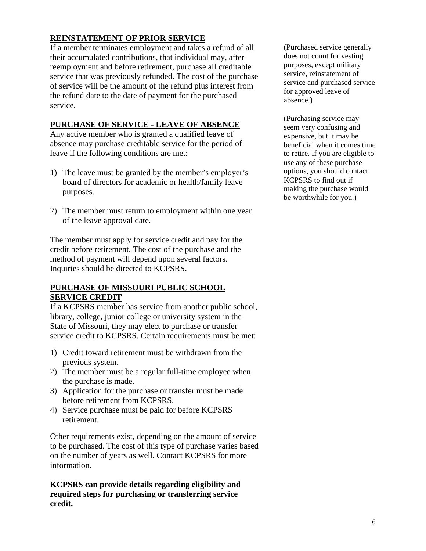#### **REINSTATEMENT OF PRIOR SERVICE**

If a member terminates employment and takes a refund of all their accumulated contributions, that individual may, after reemployment and before retirement, purchase all creditable service that was previously refunded. The cost of the purchase of service will be the amount of the refund plus interest from the refund date to the date of payment for the purchased service.

#### **PURCHASE OF SERVICE - LEAVE OF ABSENCE**

Any active member who is granted a qualified leave of absence may purchase creditable service for the period of leave if the following conditions are met:

- 1) The leave must be granted by the member's employer's board of directors for academic or health/family leave purposes.
- 2) The member must return to employment within one year of the leave approval date.

The member must apply for service credit and pay for the credit before retirement. The cost of the purchase and the method of payment will depend upon several factors. Inquiries should be directed to KCPSRS.

#### **PURCHASE OF MISSOURI PUBLIC SCHOOL SERVICE CREDIT**

If a KCPSRS member has service from another public school, library, college, junior college or university system in the State of Missouri, they may elect to purchase or transfer service credit to KCPSRS. Certain requirements must be met:

- 1) Credit toward retirement must be withdrawn from the previous system.
- 2) The member must be a regular full-time employee when the purchase is made.
- 3) Application for the purchase or transfer must be made before retirement from KCPSRS.
- 4) Service purchase must be paid for before KCPSRS retirement.

Other requirements exist, depending on the amount of service to be purchased. The cost of this type of purchase varies based on the number of years as well. Contact KCPSRS for more information.

**KCPSRS can provide details regarding eligibility and required steps for purchasing or transferring service credit.**

(Purchased service generally does not count for vesting purposes, except military service, reinstatement of service and purchased service for approved leave of absence.)

(Purchasing service may seem very confusing and expensive, but it may be beneficial when it comes time to retire. If you are eligible to use any of these purchase options, you should contact KCPSRS to find out if making the purchase would be worthwhile for you.)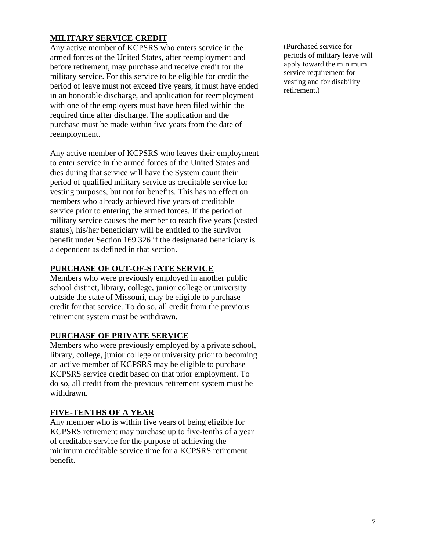#### **MILITARY SERVICE CREDIT**

Any active member of KCPSRS who enters service in the armed forces of the United States, after reemployment and before retirement, may purchase and receive credit for the military service. For this service to be eligible for credit the period of leave must not exceed five years, it must have ended in an honorable discharge, and application for reemployment with one of the employers must have been filed within the required time after discharge. The application and the purchase must be made within five years from the date of reemployment.

Any active member of KCPSRS who leaves their employment to enter service in the armed forces of the United States and dies during that service will have the System count their period of qualified military service as creditable service for vesting purposes, but not for benefits. This has no effect on members who already achieved five years of creditable service prior to entering the armed forces. If the period of military service causes the member to reach five years (vested status), his/her beneficiary will be entitled to the survivor benefit under Section 169.326 if the designated beneficiary is a dependent as defined in that section.

#### **PURCHASE OF OUT-OF-STATE SERVICE**

Members who were previously employed in another public school district, library, college, junior college or university outside the state of Missouri, may be eligible to purchase credit for that service. To do so, all credit from the previous retirement system must be withdrawn.

#### **PURCHASE OF PRIVATE SERVICE**

Members who were previously employed by a private school, library, college, junior college or university prior to becoming an active member of KCPSRS may be eligible to purchase KCPSRS service credit based on that prior employment. To do so, all credit from the previous retirement system must be withdrawn.

#### **FIVE-TENTHS OF A YEAR**

Any member who is within five years of being eligible for KCPSRS retirement may purchase up to five-tenths of a year of creditable service for the purpose of achieving the minimum creditable service time for a KCPSRS retirement benefit.

(Purchased service for periods of military leave will apply toward the minimum service requirement for vesting and for disability retirement.)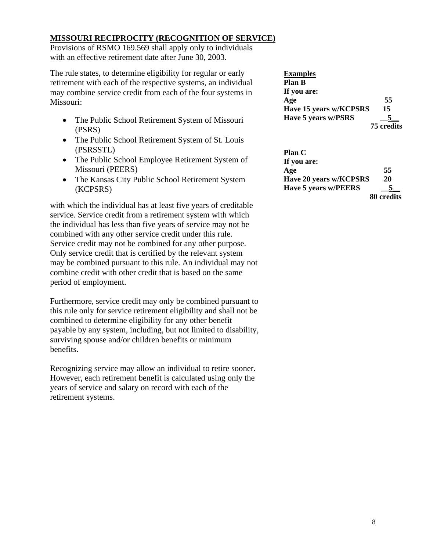#### **MISSOURI RECIPROCITY (RECOGNITION OF SERVICE)**

Provisions of RSMO 169.569 shall apply only to individuals with an effective retirement date after June 30, 2003.

The rule states, to determine eligibility for regular or early retirement with each of the respective systems, an individual may combine service credit from each of the four systems in Missouri:

- The Public School Retirement System of Missouri (PSRS)
- The Public School Retirement System of St. Louis (PSRSSTL)
- The Public School Employee Retirement System of Missouri (PEERS)
- The Kansas City Public School Retirement System (KCPSRS)

with which the individual has at least five years of creditable service. Service credit from a retirement system with which the individual has less than five years of service may not be combined with any other service credit under this rule. Service credit may not be combined for any other purpose. Only service credit that is certified by the relevant system may be combined pursuant to this rule. An individual may not combine credit with other credit that is based on the same period of employment.

Furthermore, service credit may only be combined pursuant to this rule only for service retirement eligibility and shall not be combined to determine eligibility for any other benefit payable by any system, including, but not limited to disability, surviving spouse and/or children benefits or minimum benefits.

Recognizing service may allow an individual to retire sooner. However, each retirement benefit is calculated using only the years of service and salary on record with each of the retirement systems.

| <b>Examples</b>        |            |
|------------------------|------------|
| <b>Plan B</b>          |            |
| If you are:            |            |
| Age                    | 55         |
| Have 15 years w/KCPSRS | 15         |
| Have 5 years w/PSRS    |            |
|                        | 75 credits |

| <b>Plan C</b>          |            |
|------------------------|------------|
| If you are:            |            |
| Age                    | 55         |
| Have 20 years w/KCPSRS | 20         |
| Have 5 years w/PEERS   |            |
|                        | 80 credits |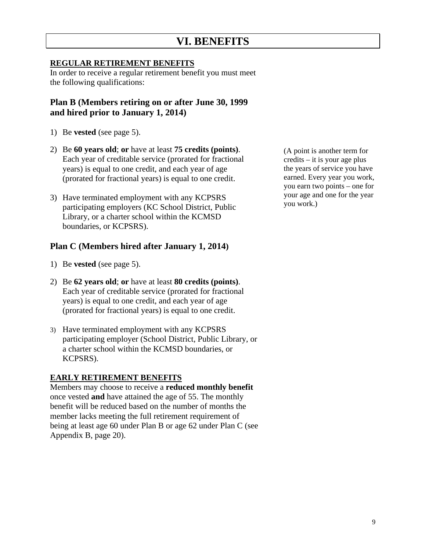# **VI. BENEFITS**

#### **REGULAR RETIREMENT BENEFITS**

In order to receive a regular retirement benefit you must meet the following qualifications:

#### **Plan B (Members retiring on or after June 30, 1999 and hired prior to January 1, 2014)**

- 1) Be **vested** (see page 5).
- 2) Be **60 years old**; **or** have at least **75 credits (points)**. Each year of creditable service (prorated for fractional years) is equal to one credit, and each year of age (prorated for fractional years) is equal to one credit.
- 3) Have terminated employment with any KCPSRS participating employers (KC School District, Public Library, or a charter school within the KCMSD boundaries, or KCPSRS).

#### **Plan C (Members hired after January 1, 2014)**

- 1) Be **vested** (see page 5).
- 2) Be **62 years old**; **or** have at least **80 credits (points)**. Each year of creditable service (prorated for fractional years) is equal to one credit, and each year of age (prorated for fractional years) is equal to one credit.
- 3) Have terminated employment with any KCPSRS participating employer (School District, Public Library, or a charter school within the KCMSD boundaries, or KCPSRS).

#### **EARLY RETIREMENT BENEFITS**

Members may choose to receive a **reduced monthly benefit** once vested **and** have attained the age of 55. The monthly benefit will be reduced based on the number of months the member lacks meeting the full retirement requirement of being at least age 60 under Plan B or age 62 under Plan C (see Appendix B, page 20).

(A point is another term for credits – it is your age plus the years of service you have earned. Every year you work, you earn two points – one for your age and one for the year you work.)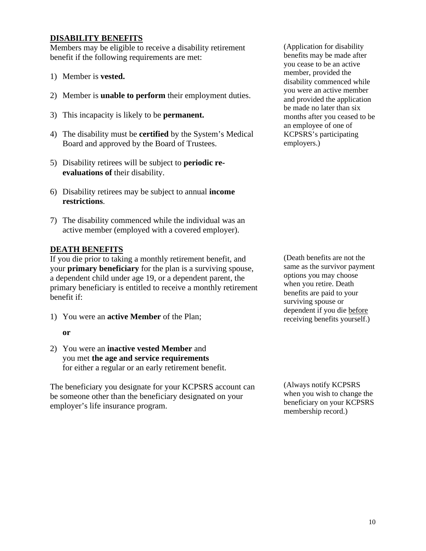#### **DISABILITY BENEFITS**

Members may be eligible to receive a disability retirement benefit if the following requirements are met:

- 1) Member is **vested.**
- 2) Member is **unable to perform** their employment duties.
- 3) This incapacity is likely to be **permanent.**
- 4) The disability must be **certified** by the System's Medical Board and approved by the Board of Trustees.
- 5) Disability retirees will be subject to **periodic reevaluations of** their disability.
- 6) Disability retirees may be subject to annual **income restrictions**.
- 7) The disability commenced while the individual was an active member (employed with a covered employer).

#### **DEATH BENEFITS**

If you die prior to taking a monthly retirement benefit, and your **primary beneficiary** for the plan is a surviving spouse, a dependent child under age 19, or a dependent parent, the primary beneficiary is entitled to receive a monthly retirement benefit if:

1) You were an **active Member** of the Plan;

#### **or**

2) You were an **inactive vested Member** and you met **the age and service requirements** for either a regular or an early retirement benefit.

The beneficiary you designate for your KCPSRS account can be someone other than the beneficiary designated on your employer's life insurance program.

(Application for disability benefits may be made after you cease to be an active member, provided the disability commenced while you were an active member and provided the application be made no later than six months after you ceased to be an employee of one of KCPSRS's participating employers.)

(Death benefits are not the same as the survivor payment options you may choose when you retire. Death benefits are paid to your surviving spouse or dependent if you die before receiving benefits yourself.)

(Always notify KCPSRS when you wish to change the beneficiary on your KCPSRS membership record.)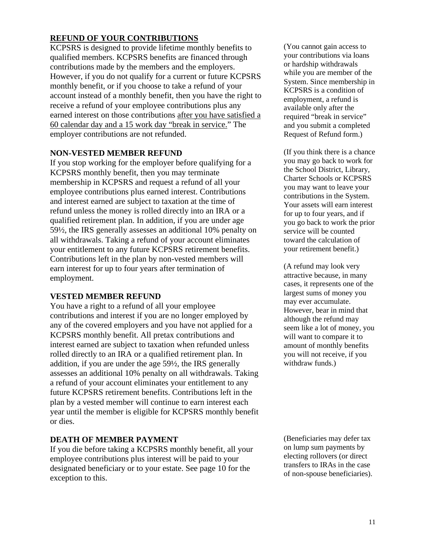#### **REFUND OF YOUR CONTRIBUTIONS**

KCPSRS is designed to provide lifetime monthly benefits to qualified members. KCPSRS benefits are financed through contributions made by the members and the employers. However, if you do not qualify for a current or future KCPSRS monthly benefit, or if you choose to take a refund of your account instead of a monthly benefit, then you have the right to receive a refund of your employee contributions plus any earned interest on those contributions after you have satisfied a 60 calendar day and a 15 work day "break in service." The employer contributions are not refunded.

#### **NON-VESTED MEMBER REFUND**

If you stop working for the employer before qualifying for a KCPSRS monthly benefit, then you may terminate membership in KCPSRS and request a refund of all your employee contributions plus earned interest. Contributions and interest earned are subject to taxation at the time of refund unless the money is rolled directly into an IRA or a qualified retirement plan. In addition, if you are under age 59½, the IRS generally assesses an additional 10% penalty on all withdrawals. Taking a refund of your account eliminates your entitlement to any future KCPSRS retirement benefits. Contributions left in the plan by non-vested members will earn interest for up to four years after termination of employment.

#### **VESTED MEMBER REFUND**

You have a right to a refund of all your employee contributions and interest if you are no longer employed by any of the covered employers and you have not applied for a KCPSRS monthly benefit. All pretax contributions and interest earned are subject to taxation when refunded unless rolled directly to an IRA or a qualified retirement plan. In addition, if you are under the age 59½, the IRS generally assesses an additional 10% penalty on all withdrawals. Taking a refund of your account eliminates your entitlement to any future KCPSRS retirement benefits. Contributions left in the plan by a vested member will continue to earn interest each year until the member is eligible for KCPSRS monthly benefit or dies.

#### **DEATH OF MEMBER PAYMENT**

If you die before taking a KCPSRS monthly benefit, all your employee contributions plus interest will be paid to your designated beneficiary or to your estate. See page 10 for the exception to this.

(You cannot gain access to your contributions via loans or hardship withdrawals while you are member of the System. Since membership in KCPSRS is a condition of employment, a refund is available only after the required "break in service" and you submit a completed Request of Refund form.)

(If you think there is a chance you may go back to work for the School District, Library, Charter Schools or KCPSRS you may want to leave your contributions in the System. Your assets will earn interest for up to four years, and if you go back to work the prior service will be counted toward the calculation of your retirement benefit.)

(A refund may look very attractive because, in many cases, it represents one of the largest sums of money you may ever accumulate. However, bear in mind that although the refund may seem like a lot of money, you will want to compare it to amount of monthly benefits you will not receive, if you withdraw funds.)

(Beneficiaries may defer tax on lump sum payments by electing rollovers (or direct transfers to IRAs in the case of non-spouse beneficiaries).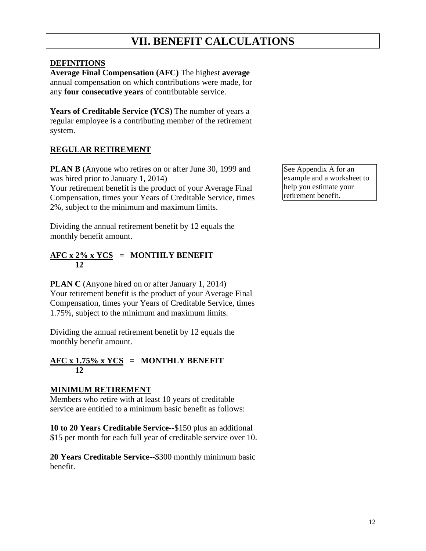# **VII. BENEFIT CALCULATIONS**

#### **DEFINITIONS**

**Average Final Compensation (AFC)** The highest **average** annual compensation on which contributions were made, for any **four consecutive years** of contributable service.

Years of Creditable Service (YCS) The number of years a regular employee i**s** a contributing member of the retirement system.

#### **REGULAR RETIREMENT**

**PLAN B** (Anyone who retires on or after June 30, 1999 and was hired prior to January 1, 2014)

Your retirement benefit is the product of your Average Final Compensation, times your Years of Creditable Service, times 2%, subject to the minimum and maximum limits.

Dividing the annual retirement benefit by 12 equals the monthly benefit amount.

#### **AFC x 2% x YCS = MONTHLY BENEFIT 12**

**PLAN C** (Anyone hired on or after January 1, 2014) Your retirement benefit is the product of your Average Final Compensation, times your Years of Creditable Service, times 1.75%, subject to the minimum and maximum limits.

Dividing the annual retirement benefit by 12 equals the monthly benefit amount.

#### $\text{AFC} \times 1.75\% \times \text{YCS}$  = MONTHLY BENEFIT **12**

#### **MINIMUM RETIREMENT**

Members who retire with at least 10 years of creditable service are entitled to a minimum basic benefit as follows:

**10 to 20 Years Creditable Service**--\$150 plus an additional \$15 per month for each full year of creditable service over 10.

**20 Years Creditable Service--**\$300 monthly minimum basic benefit.

See Appendix A for an example and a worksheet to help you estimate your retirement benefit.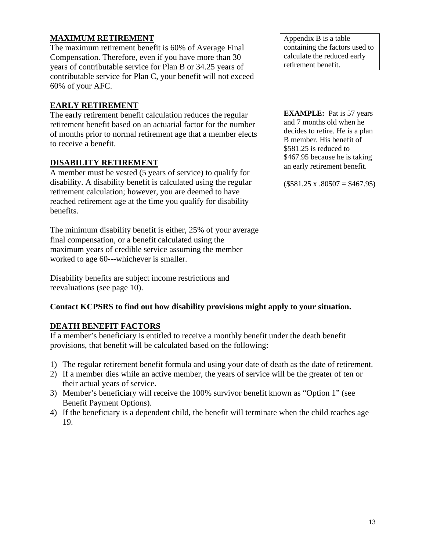#### **MAXIMUM RETIREMENT**

The maximum retirement benefit is 60% of Average Final Compensation. Therefore, even if you have more than 30 years of contributable service for Plan B or 34.25 years of contributable service for Plan C, your benefit will not exceed 60% of your AFC.

#### **EARLY RETIREMENT**

The early retirement benefit calculation reduces the regular retirement benefit based on an actuarial factor for the number of months prior to normal retirement age that a member elects to receive a benefit.

#### **DISABILITY RETIREMENT**

A member must be vested (5 years of service) to qualify for disability. A disability benefit is calculated using the regular retirement calculation; however, you are deemed to have reached retirement age at the time you qualify for disability benefits.

The minimum disability benefit is either, 25% of your average final compensation, or a benefit calculated using the maximum years of credible service assuming the member worked to age 60---whichever is smaller.

Disability benefits are subject income restrictions and reevaluations (see page 10).

#### **Contact KCPSRS to find out how disability provisions might apply to your situation.**

#### **DEATH BENEFIT FACTORS**

If a member's beneficiary is entitled to receive a monthly benefit under the death benefit provisions, that benefit will be calculated based on the following:

- 1) The regular retirement benefit formula and using your date of death as the date of retirement.
- 2) If a member dies while an active member, the years of service will be the greater of ten or their actual years of service.
- 3) Member's beneficiary will receive the 100% survivor benefit known as "Option 1" (see Benefit Payment Options).
- 4) If the beneficiary is a dependent child, the benefit will terminate when the child reaches age 19.

Appendix B is a table containing the factors used to calculate the reduced early retirement benefit.

**EXAMPLE:** Pat is 57 years and 7 months old when he decides to retire. He is a plan B member. His benefit of \$581.25 is reduced to \$467.95 because he is taking an early retirement benefit.

 $($581.25 \times .80507 = $467.95)$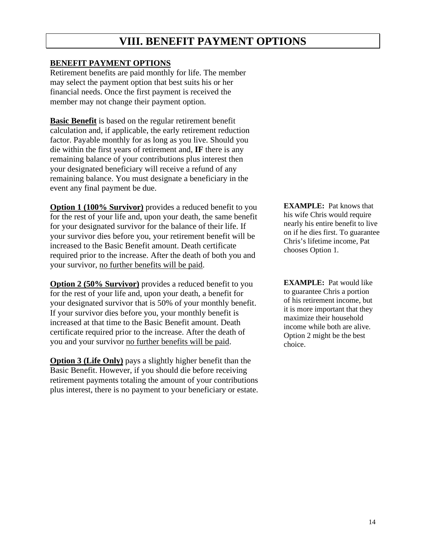# **VIII. BENEFIT PAYMENT OPTIONS**

#### **BENEFIT PAYMENT OPTIONS**

Retirement benefits are paid monthly for life. The member may select the payment option that best suits his or her financial needs. Once the first payment is received the member may not change their payment option.

**Basic Benefit** is based on the regular retirement benefit calculation and, if applicable, the early retirement reduction factor. Payable monthly for as long as you live. Should you die within the first years of retirement and, **IF** there is any remaining balance of your contributions plus interest then your designated beneficiary will receive a refund of any remaining balance. You must designate a beneficiary in the event any final payment be due.

**Option 1 (100% Survivor)** provides a reduced benefit to you for the rest of your life and, upon your death, the same benefit for your designated survivor for the balance of their life. If your survivor dies before you, your retirement benefit will be increased to the Basic Benefit amount. Death certificate required prior to the increase. After the death of both you and your survivor, no further benefits will be paid.

**Option 2 (50% Survivor)** provides a reduced benefit to you for the rest of your life and, upon your death, a benefit for your designated survivor that is 50% of your monthly benefit. If your survivor dies before you, your monthly benefit is increased at that time to the Basic Benefit amount. Death certificate required prior to the increase. After the death of you and your survivor no further benefits will be paid.

**Option 3 (Life Only)** pays a slightly higher benefit than the Basic Benefit. However, if you should die before receiving retirement payments totaling the amount of your contributions plus interest, there is no payment to your beneficiary or estate. **EXAMPLE:** Pat knows that his wife Chris would require nearly his entire benefit to live on if he dies first. To guarantee Chris's lifetime income, Pat chooses Option 1.

**EXAMPLE:** Pat would like to guarantee Chris a portion of his retirement income, but it is more important that they maximize their household income while both are alive. Option 2 might be the best choice.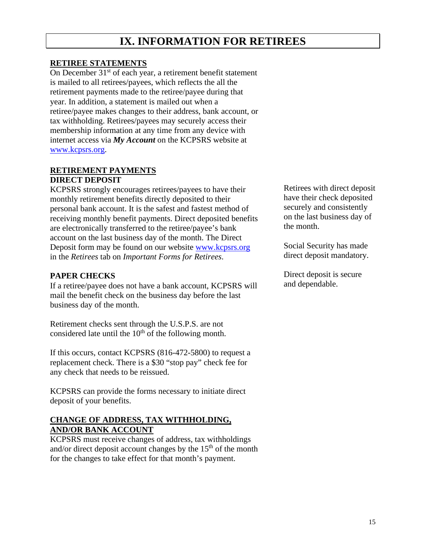# **IX. INFORMATION FOR RETIREES**

#### **RETIREE STATEMENTS**

On December 31<sup>st</sup> of each year, a retirement benefit statement is mailed to all retirees/payees, which reflects the all the retirement payments made to the retiree/payee during that year. In addition, a statement is mailed out when a retiree/payee makes changes to their address, bank account, or tax withholding. Retirees/payees may securely access their membership information at any time from any device with internet access via *My Account* on the KCPSRS website at [www.kcpsrs.org.](http://www.kcpsrs.org/)

#### **RETIREMENT PAYMENTS DIRECT DEPOSIT**

KCPSRS strongly encourages retirees/payees to have their monthly retirement benefits directly deposited to their personal bank account. It is the safest and fastest method of receiving monthly benefit payments. Direct deposited benefits are electronically transferred to the retiree/payee's bank account on the last business day of the month. The Direct Deposit form may be found on our website [www.kcpsrs.org](http://www.kcpsrs.org/) in the *Retirees* tab on *Important Forms for Retirees*.

#### **PAPER CHECKS**

If a retiree/payee does not have a bank account, KCPSRS will mail the benefit check on the business day before the last business day of the month.

Retirement checks sent through the U.S.P.S. are not considered late until the  $10<sup>th</sup>$  of the following month.

If this occurs, contact KCPSRS (816-472-5800) to request a replacement check. There is a \$30 "stop pay" check fee for any check that needs to be reissued.

KCPSRS can provide the forms necessary to initiate direct deposit of your benefits.

#### **CHANGE OF ADDRESS, TAX WITHHOLDING, AND/OR BANK ACCOUNT**

KCPSRS must receive changes of address, tax withholdings and/or direct deposit account changes by the  $15<sup>th</sup>$  of the month for the changes to take effect for that month's payment.

Retirees with direct deposit have their check deposited securely and consistently on the last business day of the month.

Social Security has made direct deposit mandatory.

Direct deposit is secure and dependable.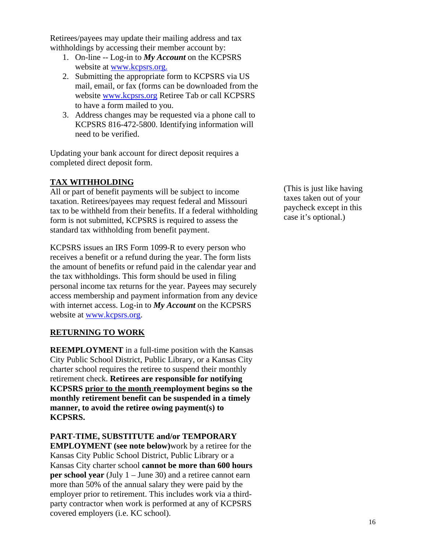Retirees/payees may update their mailing address and tax withholdings by accessing their member account by:

- 1. On-line -- Log-in to *My Account* on the KCPSRS website at [www.kcpsrs.org.](http://www.kcpsrs.org/)
- 2. Submitting the appropriate form to KCPSRS via US mail, email, or fax (forms can be downloaded from the website [www.kcpsrs.org](http://www.kcpsrs.org/) Retiree Tab or call KCPSRS to have a form mailed to you.
- 3. Address changes may be requested via a phone call to KCPSRS 816-472-5800. Identifying information will need to be verified.

Updating your bank account for direct deposit requires a completed direct deposit form.

### **TAX WITHHOLDING**

All or part of benefit payments will be subject to income taxation. Retirees/payees may request federal and Missouri tax to be withheld from their benefits. If a federal withholding form is not submitted, KCPSRS is required to assess the standard tax withholding from benefit payment.

KCPSRS issues an IRS Form 1099-R to every person who receives a benefit or a refund during the year. The form lists the amount of benefits or refund paid in the calendar year and the tax withholdings. This form should be used in filing personal income tax returns for the year. Payees may securely access membership and payment information from any device with internet access. Log-in to *My Account* on the KCPSRS website at [www.kcpsrs.org.](http://www.kcpsrs.org/)

#### **RETURNING TO WORK**

**REEMPLOYMENT** in a full-time position with the Kansas City Public School District, Public Library, or a Kansas City charter school requires the retiree to suspend their monthly retirement check. **Retirees are responsible for notifying KCPSRS prior to the month reemployment begins so the monthly retirement benefit can be suspended in a timely manner, to avoid the retiree owing payment(s) to KCPSRS.**

#### **PART-TIME, SUBSTITUTE and/or TEMPORARY**

**EMPLOYMENT (see note below)**work by a retiree for the Kansas City Public School District, Public Library or a Kansas City charter school **cannot be more than 600 hours per school year** (July 1 – June 30) and a retiree cannot earn more than 50% of the annual salary they were paid by the employer prior to retirement. This includes work via a thirdparty contractor when work is performed at any of KCPSRS covered employers (i.e. KC school).

(This is just like having taxes taken out of your paycheck except in this case it's optional.)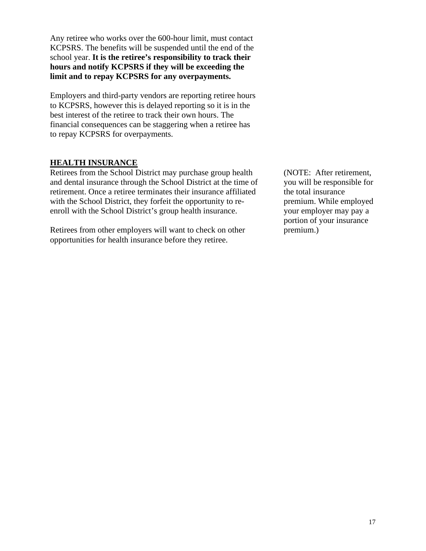Any retiree who works over the 600-hour limit, must contact KCPSRS. The benefits will be suspended until the end of the school year. **It is the retiree's responsibility to track their hours and notify KCPSRS if they will be exceeding the limit and to repay KCPSRS for any overpayments.**

Employers and third-party vendors are reporting retiree hours to KCPSRS, however this is delayed reporting so it is in the best interest of the retiree to track their own hours. The financial consequences can be staggering when a retiree has to repay KCPSRS for overpayments.

#### **HEALTH INSURANCE**

Retirees from the School District may purchase group health and dental insurance through the School District at the time of retirement. Once a retiree terminates their insurance affiliated with the School District, they forfeit the opportunity to reenroll with the School District's group health insurance.

Retirees from other employers will want to check on other opportunities for health insurance before they retiree.

(NOTE: After retirement, you will be responsible for the total insurance premium. While employed your employer may pay a portion of your insurance premium.)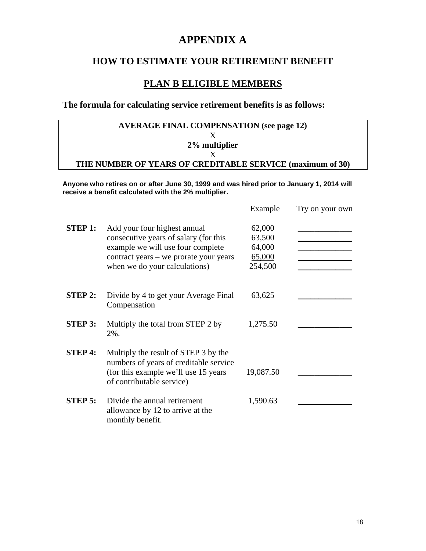### **APPENDIX A**

### **HOW TO ESTIMATE YOUR RETIREMENT BENEFIT**

### **PLAN B ELIGIBLE MEMBERS**

### **The formula for calculating service retirement benefits is as follows:**

| <b>AVERAGE FINAL COMPENSATION (see page 12)</b>           |
|-----------------------------------------------------------|
|                                                           |
| 2% multiplier                                             |
|                                                           |
| THE NUMBER OF YEARS OF CREDITABLE SERVICE (maximum of 30) |

**Anyone who retires on or after June 30, 1999 and was hired prior to January 1, 2014 will receive a benefit calculated with the 2% multiplier.** 

|                |                                                                                                                                                                                       | Example                                         | Try on your own |  |
|----------------|---------------------------------------------------------------------------------------------------------------------------------------------------------------------------------------|-------------------------------------------------|-----------------|--|
| <b>STEP 1:</b> | Add your four highest annual<br>consecutive years of salary (for this<br>example we will use four complete<br>contract years – we prorate your years<br>when we do your calculations) | 62,000<br>63,500<br>64,000<br>65,000<br>254,500 |                 |  |
| <b>STEP 2:</b> | Divide by 4 to get your Average Final<br>Compensation                                                                                                                                 | 63,625                                          |                 |  |
| <b>STEP 3:</b> | Multiply the total from STEP 2 by<br>2%.                                                                                                                                              | 1,275.50                                        |                 |  |
| <b>STEP 4:</b> | Multiply the result of STEP 3 by the<br>numbers of years of creditable service<br>(for this example we'll use 15 years)<br>of contributable service)                                  | 19,087.50                                       |                 |  |
| <b>STEP 5:</b> | Divide the annual retirement<br>allowance by 12 to arrive at the<br>monthly benefit.                                                                                                  | 1,590.63                                        |                 |  |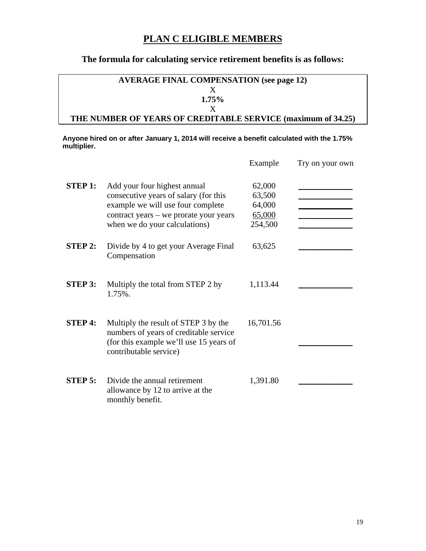### **PLAN C ELIGIBLE MEMBERS**

#### **The formula for calculating service retirement benefits is as follows:**

### **AVERAGE FINAL COMPENSATION (see page 12)** X **1.75%** X **THE NUMBER OF YEARS OF CREDITABLE SERVICE (maximum of 34.25)**

**Anyone hired on or after January 1, 2014 will receive a benefit calculated with the 1.75% multiplier.**

|                |                                                                                                                                                                                       | Example                                         | Try on your own |
|----------------|---------------------------------------------------------------------------------------------------------------------------------------------------------------------------------------|-------------------------------------------------|-----------------|
| <b>STEP 1:</b> | Add your four highest annual<br>consecutive years of salary (for this<br>example we will use four complete<br>contract years – we prorate your years<br>when we do your calculations) | 62,000<br>63,500<br>64,000<br>65,000<br>254,500 |                 |
| <b>STEP 2:</b> | Divide by 4 to get your Average Final<br>Compensation                                                                                                                                 | 63,625                                          |                 |
| <b>STEP 3:</b> | Multiply the total from STEP 2 by<br>1.75%.                                                                                                                                           | 1,113.44                                        |                 |
| <b>STEP 4:</b> | Multiply the result of STEP 3 by the<br>numbers of years of creditable service<br>(for this example we'll use 15 years of<br>contributable service)                                   | 16,701.56                                       |                 |
| $STEP$ 5:      | Divide the annual retirement<br>allowance by 12 to arrive at the<br>monthly benefit.                                                                                                  | 1,391.80                                        |                 |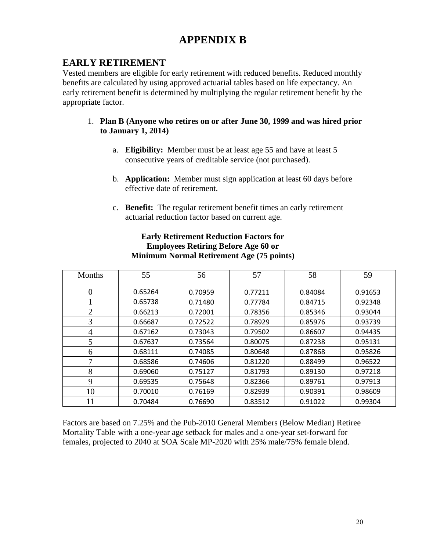# **APPENDIX B**

### **EARLY RETIREMENT**

Vested members are eligible for early retirement with reduced benefits. Reduced monthly benefits are calculated by using approved actuarial tables based on life expectancy. An early retirement benefit is determined by multiplying the regular retirement benefit by the appropriate factor.

#### 1. **Plan B (Anyone who retires on or after June 30, 1999 and was hired prior to January 1, 2014)**

- a. **Eligibility:** Member must be at least age 55 and have at least 5 consecutive years of creditable service (not purchased).
- b. **Application:** Member must sign application at least 60 days before effective date of retirement.
- c. **Benefit:** The regular retirement benefit times an early retirement actuarial reduction factor based on current age.

| Months         | 55      | 56      | 57      | 58      | 59      |
|----------------|---------|---------|---------|---------|---------|
| $\theta$       | 0.65264 | 0.70959 | 0.77211 | 0.84084 | 0.91653 |
|                | 0.65738 | 0.71480 | 0.77784 | 0.84715 | 0.92348 |
| $\overline{2}$ | 0.66213 | 0.72001 | 0.78356 | 0.85346 | 0.93044 |
| 3              | 0.66687 | 0.72522 | 0.78929 | 0.85976 | 0.93739 |
| 4              | 0.67162 | 0.73043 | 0.79502 | 0.86607 | 0.94435 |
| 5              | 0.67637 | 0.73564 | 0.80075 | 0.87238 | 0.95131 |
| 6              | 0.68111 | 0.74085 | 0.80648 | 0.87868 | 0.95826 |
| 7              | 0.68586 | 0.74606 | 0.81220 | 0.88499 | 0.96522 |
| 8              | 0.69060 | 0.75127 | 0.81793 | 0.89130 | 0.97218 |
| 9              | 0.69535 | 0.75648 | 0.82366 | 0.89761 | 0.97913 |
| 10             | 0.70010 | 0.76169 | 0.82939 | 0.90391 | 0.98609 |
| 11             | 0.70484 | 0.76690 | 0.83512 | 0.91022 | 0.99304 |

#### **Early Retirement Reduction Factors for Employees Retiring Before Age 60 or Minimum Normal Retirement Age (75 points)**

Factors are based on 7.25% and the Pub-2010 General Members (Below Median) Retiree Mortality Table with a one-year age setback for males and a one-year set-forward for females, projected to 2040 at SOA Scale MP-2020 with 25% male/75% female blend.